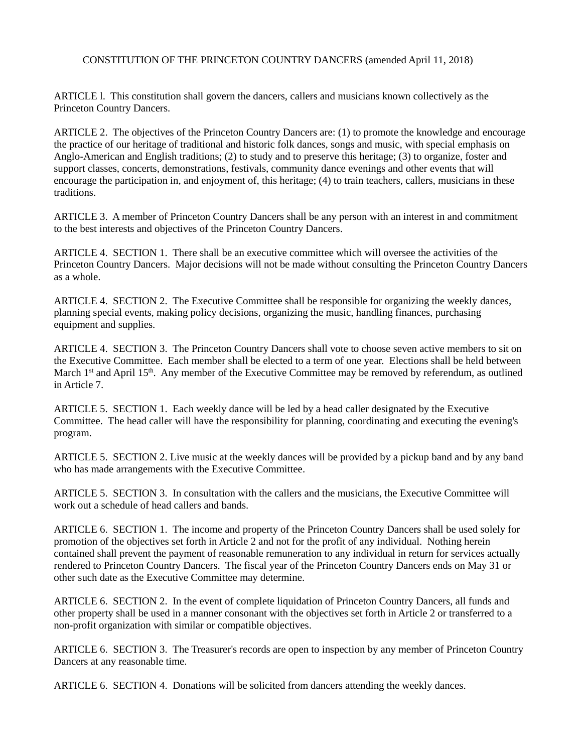## CONSTITUTION OF THE PRINCETON COUNTRY DANCERS (amended April 11, 2018)

ARTICLE l. This constitution shall govern the dancers, callers and musicians known collectively as the Princeton Country Dancers.

ARTICLE 2. The objectives of the Princeton Country Dancers are: (1) to promote the knowledge and encourage the practice of our heritage of traditional and historic folk dances, songs and music, with special emphasis on Anglo-American and English traditions; (2) to study and to preserve this heritage; (3) to organize, foster and support classes, concerts, demonstrations, festivals, community dance evenings and other events that will encourage the participation in, and enjoyment of, this heritage; (4) to train teachers, callers, musicians in these traditions.

ARTICLE 3. A member of Princeton Country Dancers shall be any person with an interest in and commitment to the best interests and objectives of the Princeton Country Dancers.

ARTICLE 4. SECTION 1. There shall be an executive committee which will oversee the activities of the Princeton Country Dancers. Major decisions will not be made without consulting the Princeton Country Dancers as a whole.

ARTICLE 4. SECTION 2. The Executive Committee shall be responsible for organizing the weekly dances, planning special events, making policy decisions, organizing the music, handling finances, purchasing equipment and supplies.

ARTICLE 4. SECTION 3. The Princeton Country Dancers shall vote to choose seven active members to sit on the Executive Committee. Each member shall be elected to a term of one year. Elections shall be held between March 1<sup>st</sup> and April 15<sup>th</sup>. Any member of the Executive Committee may be removed by referendum, as outlined in Article 7.

ARTICLE 5. SECTION 1. Each weekly dance will be led by a head caller designated by the Executive Committee. The head caller will have the responsibility for planning, coordinating and executing the evening's program.

ARTICLE 5. SECTION 2. Live music at the weekly dances will be provided by a pickup band and by any band who has made arrangements with the Executive Committee.

ARTICLE 5. SECTION 3. In consultation with the callers and the musicians, the Executive Committee will work out a schedule of head callers and bands.

ARTICLE 6. SECTION 1. The income and property of the Princeton Country Dancers shall be used solely for promotion of the objectives set forth in Article 2 and not for the profit of any individual. Nothing herein contained shall prevent the payment of reasonable remuneration to any individual in return for services actually rendered to Princeton Country Dancers. The fiscal year of the Princeton Country Dancers ends on May 31 or other such date as the Executive Committee may determine.

ARTICLE 6. SECTION 2. In the event of complete liquidation of Princeton Country Dancers, all funds and other property shall be used in a manner consonant with the objectives set forth in Article 2 or transferred to a non-profit organization with similar or compatible objectives.

ARTICLE 6. SECTION 3. The Treasurer's records are open to inspection by any member of Princeton Country Dancers at any reasonable time.

ARTICLE 6. SECTION 4. Donations will be solicited from dancers attending the weekly dances.